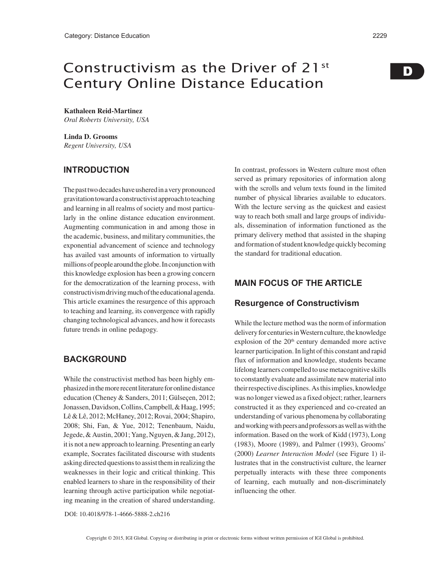# Constructivism as the Driver of 21st Century Online Distance Education

**Kathaleen Reid-Martinez** *Oral Roberts University, USA*

**Linda D. Grooms** *Regent University, USA*

## **INTRODUCTION**

The past two decades have ushered in a very pronounced gravitation toward a constructivist approach to teaching and learning in all realms of society and most particularly in the online distance education environment. Augmenting communication in and among those in the academic, business, and military communities, the exponential advancement of science and technology has availed vast amounts of information to virtually millions of people around the globe. In conjunction with this knowledge explosion has been a growing concern for the democratization of the learning process, with constructivism driving much of the educational agenda. This article examines the resurgence of this approach to teaching and learning, its convergence with rapidly changing technological advances, and how it forecasts future trends in online pedagogy.

## **BACKGROUND**

While the constructivist method has been highly emphasized in the more recent literature for online distance education (Cheney & Sanders, 2011; Gülseçen, 2012; Jonassen, Davidson, Collins, Campbell, & Haag, 1995; Lê & Lê, 2012; McHaney, 2012; Rovai, 2004; Shapiro, 2008; Shi, Fan, & Yue, 2012; Tenenbaum, Naidu, Jegede, & Austin, 2001; Yang, Nguyen, & Jang, 2012), it is not a new approach to learning. Presenting an early example, Socrates facilitated discourse with students asking directed questions to assist them in realizing the weaknesses in their logic and critical thinking. This enabled learners to share in the responsibility of their learning through active participation while negotiating meaning in the creation of shared understanding.

In contrast, professors in Western culture most often served as primary repositories of information along with the scrolls and velum texts found in the limited number of physical libraries available to educators. With the lecture serving as the quickest and easiest way to reach both small and large groups of individuals, dissemination of information functioned as the primary delivery method that assisted in the shaping and formation of student knowledge quickly becoming the standard for traditional education.

## **MAIN FOCUS OF THE ARTICLE**

### **Resurgence of Constructivism**

While the lecture method was the norm of information delivery for centuries in Western culture, the knowledge explosion of the  $20<sup>th</sup>$  century demanded more active learner participation. In light of this constant and rapid flux of information and knowledge, students became lifelong learners compelled to use metacognitive skills to constantly evaluate and assimilate new material into their respective disciplines. As this implies, knowledge was no longer viewed as a fixed object; rather, learners constructed it as they experienced and co-created an understanding of various phenomena by collaborating and working with peers and professors as well as with the information. Based on the work of Kidd (1973), Long (1983), Moore (1989), and Palmer (1993), Grooms' (2000) *Learner Interaction Model* (see Figure 1) illustrates that in the constructivist culture, the learner perpetually interacts with these three components of learning, each mutually and non-discriminately influencing the other.

D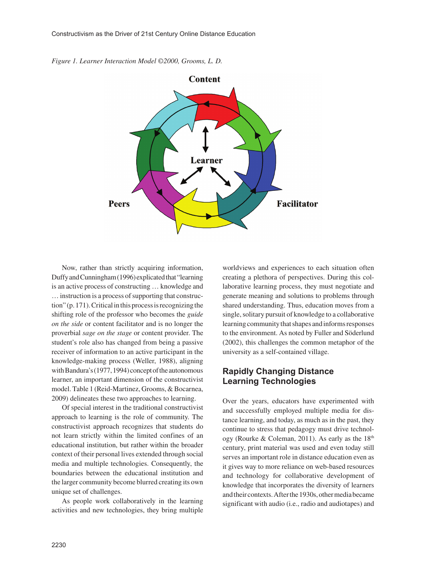



Now, rather than strictly acquiring information, Duffy and Cunningham (1996) explicated that "learning is an active process of constructing … knowledge and … instruction is a process of supporting that construction" (p. 171). Critical in this process is recognizing the shifting role of the professor who becomes the *guide on the side* or content facilitator and is no longer the proverbial *sage on the stage* or content provider. The student's role also has changed from being a passive receiver of information to an active participant in the knowledge-making process (Weller, 1988), aligning with Bandura's (1977, 1994) concept of the autonomous learner, an important dimension of the constructivist model. Table 1 (Reid-Martinez, Grooms, & Bocarnea, 2009) delineates these two approaches to learning.

Of special interest in the traditional constructivist approach to learning is the role of community. The constructivist approach recognizes that students do not learn strictly within the limited confines of an educational institution, but rather within the broader context of their personal lives extended through social media and multiple technologies. Consequently, the boundaries between the educational institution and the larger community become blurred creating its own unique set of challenges.

As people work collaboratively in the learning activities and new technologies, they bring multiple worldviews and experiences to each situation often creating a plethora of perspectives. During this collaborative learning process, they must negotiate and generate meaning and solutions to problems through shared understanding. Thus, education moves from a single, solitary pursuit of knowledge to a collaborative learning community that shapes and informs responses to the environment. As noted by Fuller and Söderlund (2002), this challenges the common metaphor of the university as a self-contained village.

## **Rapidly Changing Distance Learning Technologies**

Over the years, educators have experimented with and successfully employed multiple media for distance learning, and today, as much as in the past, they continue to stress that pedagogy must drive technology (Rourke & Coleman, 2011). As early as the  $18<sup>th</sup>$ century, print material was used and even today still serves an important role in distance education even as it gives way to more reliance on web-based resources and technology for collaborative development of knowledge that incorporates the diversity of learners and their contexts. After the 1930s, other media became significant with audio (i.e., radio and audiotapes) and